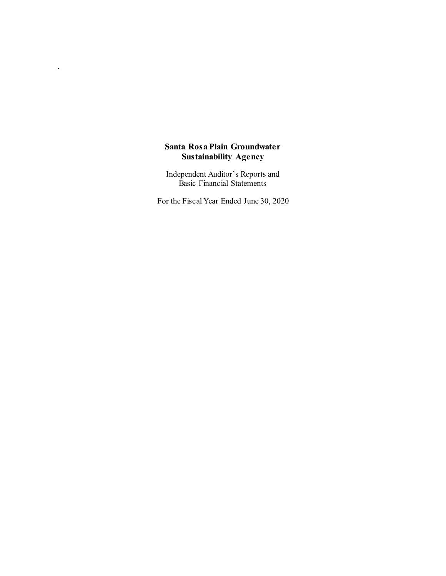# **Santa Rosa Plain Groundwater Sustainability Agency**

.

Independent Auditor's Reports and Basic Financial Statements

For the Fiscal Year Ended June 30, 2020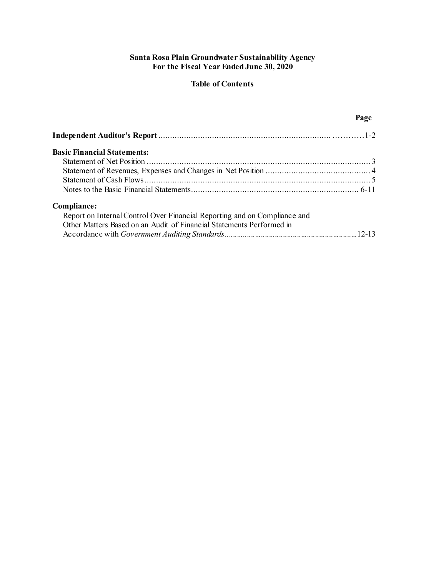# **Santa Rosa Plain Groundwater Sustainability Agency For the Fiscal Year Ended June 30, 2020**

# **Table of Contents**

# **Page**

| <b>Basic Financial Statements:</b>                                        |  |
|---------------------------------------------------------------------------|--|
|                                                                           |  |
|                                                                           |  |
|                                                                           |  |
|                                                                           |  |
| Compliance:                                                               |  |
| Report on Internal Control Over Financial Reporting and on Compliance and |  |
| Other Matters Based on an Audit of Financial Statements Performed in      |  |
|                                                                           |  |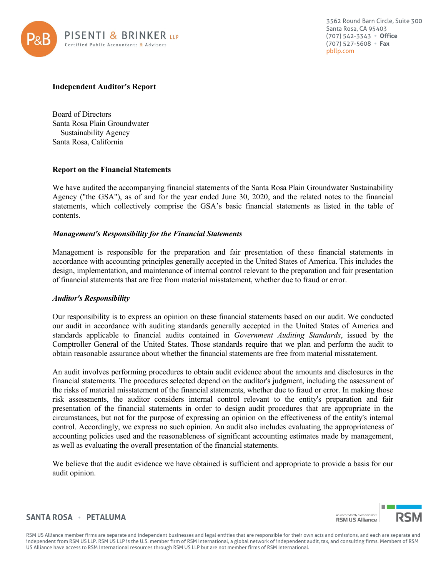

3562 Round Barn Circle, Suite 300 Santa Rosa, CA 95403 (707) 542-3343 **Office**  (707) 527-5608 **Fax**  [pbllp.com](https://pbllp.com) 

### **Independent Auditor's Report**

Board of Directors Santa Rosa Plain Groundwater Sustainability Agency Santa Rosa, California

### **Report on the Financial Statements**

We have audited the accompanying financial statements of the Santa Rosa Plain Groundwater Sustainability Agency ("the GSA"), as of and for the year ended June 30, 2020, and the related notes to the financial statements, which collectively comprise the GSA's basic financial statements as listed in the table of contents.

### *Management's Responsibility for the Financial Statements*

Management is responsible for the preparation and fair presentation of these financial statements in accordance with accounting principles generally accepted in the United States of America. This includes the design, implementation, and maintenance of internal control relevant to the preparation and fair presentation of financial statements that are free from material misstatement, whether due to fraud or error.

# *Auditor's Responsibility*

Our responsibility is to express an opinion on these financial statements based on our audit. We conducted our audit in accordance with auditing standards generally accepted in the United States of America and standards applicable to financial audits contained in *Government Auditing Standards*, issued by the Comptroller General of the United States. Those standards require that we plan and perform the audit to obtain reasonable assurance about whether the financial statements are free from material misstatement.

 the risks of material misstatement of the financial statements, whether due to fraud or error. In making those control. Accordingly, we express no such opinion. An audit also includes evaluating the appropriateness of An audit involves performing procedures to obtain audit evidence about the amounts and disclosures in the financial statements. The procedures selected depend on the auditor's judgment, including the assessment of risk assessments, the auditor considers internal control relevant to the entity's preparation and fair presentation of the financial statements in order to design audit procedures that are appropriate in the circumstances, but not for the purpose of expressing an opinion on the effectiveness of the entity's internal accounting policies used and the reasonableness of significant accounting estimates made by management, as well as evaluating the overall presentation of the financial statements.

We believe that the audit evidence we have obtained is sufficient and appropriate to provide a basis for our audit opinion.

# **SANTA ROSA PETALUMA**

 RSM US Alliance member firms are separate and independent businesses and legal entities that are responsible for their own acts and omissions, and each are separate and independent from RSM US LLP. RSM US LLP is the U.S. member firm of RSM International, a global network of independent audit, tax, and consulting firms. Members of RSM US Alliance have access to RSM International resources through RSM US LLP but are not member firms of RSM International.

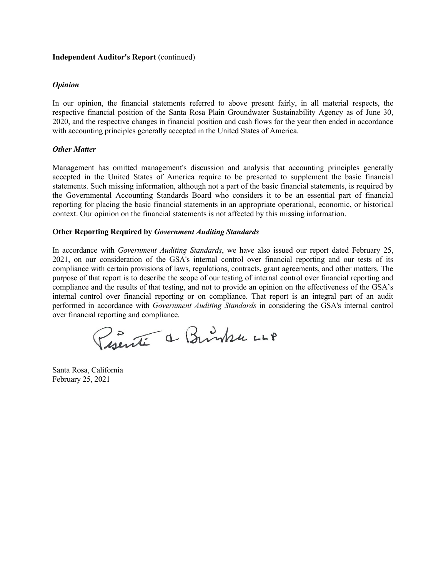#### **Independent Auditor's Report** (continued)

#### *Opinion*

In our opinion, the financial statements referred to above present fairly, in all material respects, the respective financial position of the Santa Rosa Plain Groundwater Sustainability Agency as of June 30, 2020, and the respective changes in financial position and cash flows for the year then ended in accordance with accounting principles generally accepted in the United States of America.

### *Other Matter*

Management has omitted management's discussion and analysis that accounting principles generally accepted in the United States of America require to be presented to supplement the basic financial statements. Such missing information, although not a part of the basic financial statements, is required by the Governmental Accounting Standards Board who considers it to be an essential part of financial reporting for placing the basic financial statements in an appropriate operational, economic, or historical context. Our opinion on the financial statements is not affected by this missing information.

#### **Other Reporting Required by** *Government Auditing Standards*

In accordance with *Government Auditing Standards*, we have also issued our report dated February 25, 2021, on our consideration of the GSA's internal control over financial reporting and our tests of its compliance with certain provisions of laws, regulations, contracts, grant agreements, and other matters. The purpose of that report is to describe the scope of our testing of internal control over financial reporting and compliance and the results of that testing, and not to provide an opinion on the effectiveness of the GSA's internal control over financial reporting or on compliance. That report is an integral part of an audit performed in accordance with *Government Auditing Standards* in considering the GSA's internal control over financial reporting and compliance.

Puente a Brinke LLP

Santa Rosa, California February 25, 2021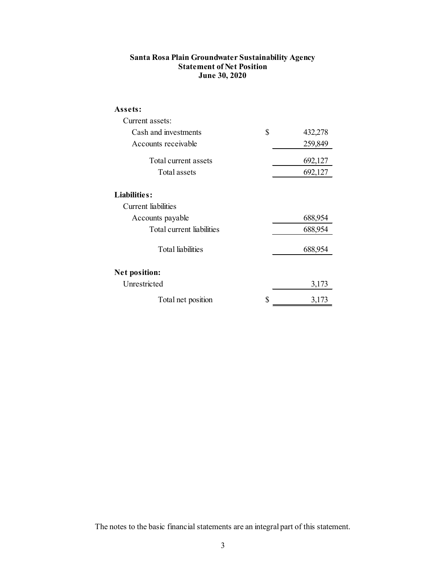# <span id="page-4-0"></span>**Santa Rosa Plain Groundwater Sustainability Agency Statement of Net Position June 30, 2020**

| Assets:                   |               |
|---------------------------|---------------|
| Current assets:           |               |
| Cash and investments      | \$<br>432,278 |
| Accounts receivable       | 259,849       |
| Total current assets      | 692,127       |
| Total assets              | 692,127       |
| Liabilities:              |               |
| Current liabilities       |               |
| Accounts payable          | 688,954       |
| Total current liabilities | 688,954       |
| <b>Total liabilities</b>  | 688,954       |
| <b>Net position:</b>      |               |
| Unrestricted              | 3,173         |
| Total net position        | \$<br>3,173   |

The notes to the basic financial statements are an integral part of this statement.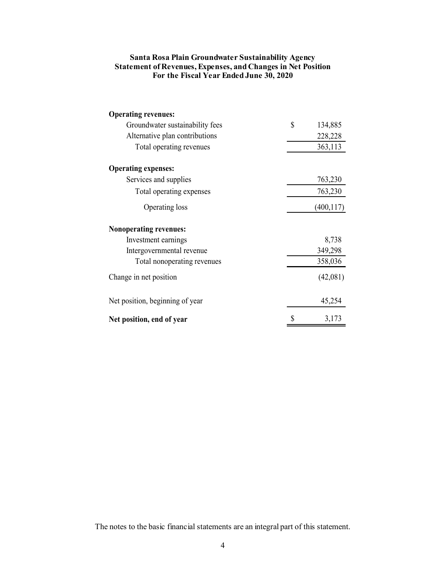| Santa Rosa Plain Groundwater Sustainability Agency                  |
|---------------------------------------------------------------------|
| <b>Statement of Revenues, Expenses, and Changes in Net Position</b> |
| For the Fiscal Year Ended June 30, 2020                             |

| <b>Operating revenues:</b>      |    |            |
|---------------------------------|----|------------|
| Groundwater sustainability fees | \$ | 134,885    |
| Alternative plan contributions  |    | 228,228    |
| Total operating revenues        |    | 363,113    |
| <b>Operating expenses:</b>      |    |            |
| Services and supplies           |    | 763,230    |
| Total operating expenses        |    | 763,230    |
| Operating loss                  |    | (400, 117) |
| <b>Nonoperating revenues:</b>   |    |            |
| Investment earnings             |    | 8,738      |
| Intergovernmental revenue       |    | 349,298    |
| Total nonoperating revenues     |    | 358,036    |
| Change in net position          |    | (42,081)   |
| Net position, beginning of year |    | 45,254     |
| Net position, end of year       | S  | 3,173      |

The notes to the basic financial statements are an integral part of this statement.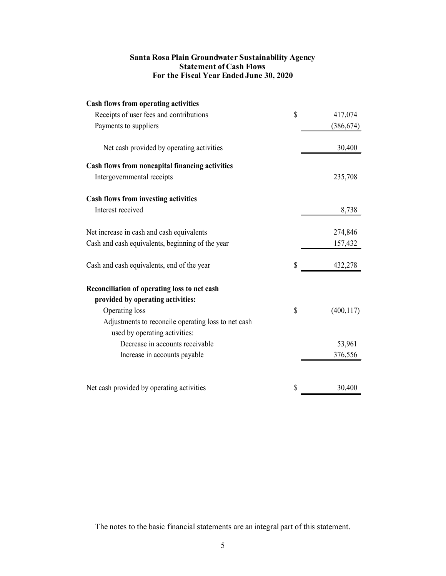# **Santa Rosa Plain Groundwater Sustainability Agency Statement of Cash Flows For the Fiscal Year Ended June 30, 2020**

| <b>Cash flows from operating activities</b>         |                  |
|-----------------------------------------------------|------------------|
| Receipts of user fees and contributions             | \$<br>417,074    |
| Payments to suppliers                               | (386, 674)       |
| Net cash provided by operating activities           | 30,400           |
| Cash flows from noncapital financing activities     |                  |
| Intergovernmental receipts                          | 235,708          |
| <b>Cash flows from investing activities</b>         |                  |
| Interest received                                   | 8,738            |
| Net increase in cash and cash equivalents           | 274,846          |
| Cash and cash equivalents, beginning of the year    | 157,432          |
| Cash and cash equivalents, end of the year          | \$<br>432,278    |
| Reconciliation of operating loss to net cash        |                  |
| provided by operating activities:                   |                  |
| Operating loss                                      | \$<br>(400, 117) |
| Adjustments to reconcile operating loss to net cash |                  |
| used by operating activities:                       |                  |
| Decrease in accounts receivable                     | 53,961           |
| Increase in accounts payable                        | 376,556          |
| Net cash provided by operating activities           | \$<br>30,400     |

The notes to the basic financial statements are an integral part of this statement.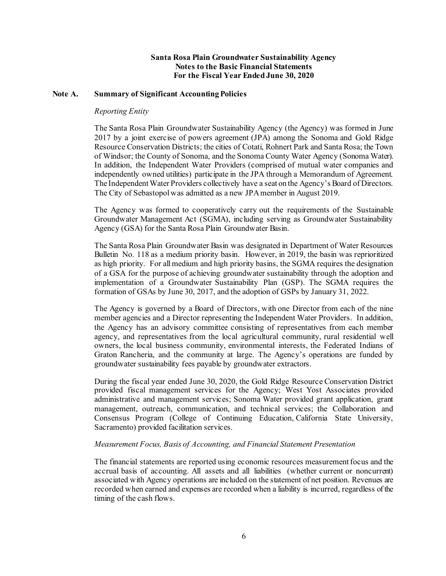### **Note A. Summary of Significant Accounting Policies**

#### *Reporting Entity*

 2017 by a joint exercise of powers agreement (JPA) among the Sonoma and Gold Ridge In addition, the Independent Water Providers (comprised of mutual water companies and independently owned utilities) participate in the JPA through a Memorandum of Agreement. The Independent Water Providers collectively have a seat on the Agency's Board of Directors. The Santa Rosa Plain Groundwater Sustainability Agency (the Agency) was formed in June Resource Conservation Districts; the cities of Cotati, Rohnert Park and Santa Rosa; the Town of Windsor; the County of Sonoma, and the Sonoma County Water Agency (Sonoma Water). The City of Sebastopol was admitted as a new JPA member in August 2019.

 The Agency was formed to cooperatively carry out the requirements of the Sustainable Groundwater Management Act (SGMA), including serving as Groundwater Sustainability Agency (GSA) for the Santa Rosa Plain Groundwater Basin.

 Bulletin No. 118 as a medium priority basin. However, in 2019, the basin was reprioritized as high priority. For all medium and high priority basins, the SGMA requires the designation of a GSA for the purpose of achieving groundwater sustainability through the adoption and implementation of a Groundwater Sustainability Plan (GSP). The SGMA requires the formation of GSAs by June 30, 2017, and the adoption of GSPs by January 31, 2022. The Santa Rosa Plain Groundwater Basin was designated in Department of Water Resources

 formation of GSAs by June 30, 2017, and the adoption of GSPs by January 31, 2022. The Agency is governed by a Board of Directors, with one Director from each of the nine member agencies and a Director representing the Independent Water Providers. In addition, the Agency has an advisory committee consisting of representatives from each member agency, and representatives from the local agricultural community, rural residential well owners, the local business community, environmental interests, the Federated Indians of Graton Rancheria, and the community at large. The Agency's operations are funded by groundwater sustainability fees payable by groundwater extractors.

 provided fiscal management services for the Agency; West Yost Associates provided administrative and management services; Sonoma Water provided grant application, grant Consensus Program (College of Continuing Education, California State University, During the fiscal year ended June 30, 2020, the Gold Ridge Resource Conservation District management, outreach, communication, and technical services; the Collaboration and Sacramento) provided facilitation services.

### *Measurement Focus, Basis of Accounting, and Financial Statement Presentation*

 The financial statements are reported using economic resources measurement focus and the accrual basis of accounting. All assets and all liabilities (whether current or noncurrent) recorded when earned and expenses are recorded when a liability is incurred, regardless of the associated with Agency operations are included on the statement of net position. Revenues are timing of the cash flows.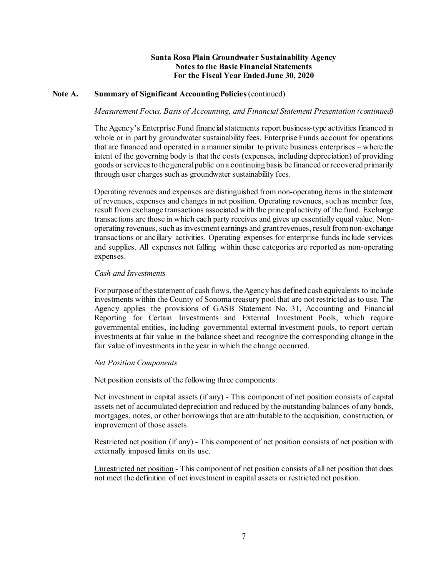# **Note A. Summary of Significant Accounting Policies** (continued)

#### *Measurement Focus, Basis of Accounting, and Financial Statement Presentation (continued)*

 that are financed and operated in a manner similar to private business enterprises – where the intent of the governing body is that the costs (expenses, including depreciation) of providing goods or services to the general public on a continuing basis be financed or recovered primarily through user charges such as groundwater sustainability fees. The Agency's Enterprise Fund financial statements report business-type activities financed in whole or in part by groundwater sustainability fees. Enterprise Funds account for operations

 operating revenues, such as investment earnings and grant revenues, result from non-exchange transactions or ancillary activities. Operating expenses for enterprise funds include services and supplies. All expenses not falling within these categories are reported as non-operating Operating revenues and expenses are distinguished from non-operating items in the statement of revenues, expenses and changes in net position. Operating revenues, such as member fees, result from exchange transactions associated with the principal activity of the fund. Exchange transactions are those in which each party receives and gives up essentially equal value. Nonexpenses.

### *Cash and Investments*

 For purpose of the statement of cash flows, the Agency has defined cash equivalents to include investments within the County of Sonoma treasury pool that are not restricted as to use. The Agency applies the provisions of GASB Statement No. 31, Accounting and Financial Reporting for Certain Investments and External Investment Pools, which require fair value of investments in the year in which the change occurred. governmental entities, including governmental external investment pools, to report certain investments at fair value in the balance sheet and recognize the corresponding change in the

#### *Net Position Components*

Net position consists of the following three components:

Net investment in capital assets (if any) - This component of net position consists of capital assets net of accumulated depreciation and reduced by the outstanding balances of any bonds, mortgages, notes, or other borrowings that are attributable to the acquisition, construction, or improvement of those assets.

Restricted net position (if any) - This component of net position consists of net position with externally imposed limits on its use.

Unrestricted net position - This component of net position consists of all net position that does not meet the definition of net investment in capital assets or restricted net position.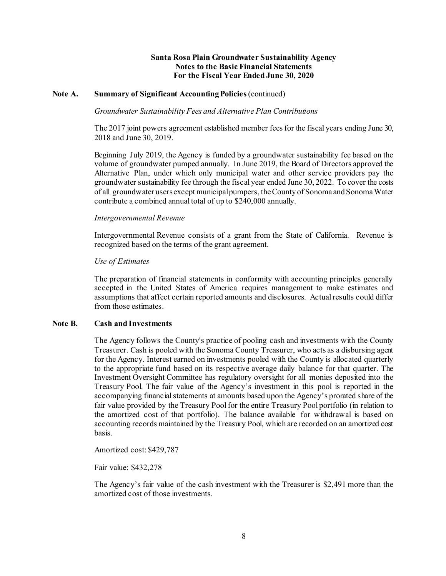# **Note A. Summary of Significant Accounting Policies** (continued)

# *Groundwater Sustainability Fees and Alternative Plan Contributions*

The 2017 joint powers agreement established member fees for the fiscal years ending June 30, 2018 and June 30, 2019.

 Beginning July 2019, the Agency is funded by a groundwater sustainability fee based on the Alternative Plan, under which only municipal water and other service providers pay the volume of groundwater pumped annually. In June 2019, the Board of Directors approved the groundwater sustainability fee through the fiscal year ended June 30, 2022. To cover the costs of all groundwater users except municipal pumpers, the County of Sonoma and Sonoma Water contribute a combined annual total of up to \$240,000 annually.

#### *Intergovernmental Revenue*

 Intergovernmental Revenue consists of a grant from the State of California. Revenue is recognized based on the terms of the grant agreement.

#### *Use of Estimates*

 accepted in the United States of America requires management to make estimates and assumptions that affect certain reported amounts and disclosures. Actual results could differ The preparation of financial statements in conformity with accounting principles generally from those estimates.

### **Note B. Cash and Investments**

 The Agency follows the County's practice of pooling cash and investments with the County to the appropriate fund based on its respective average daily balance for that quarter. The Treasury Pool. The fair value of the Agency's investment in this pool is reported in the fair value provided by the Treasury Pool for the entire Treasury Pool portfolio (in relation to the amortized cost of that portfolio). The balance available for withdrawal is based on Treasurer. Cash is pooled with the Sonoma County Treasurer, who acts as a disbursing agent for the Agency. Interest earned on investments pooled with the County is allocated quarterly Investment Oversight Committee has regulatory oversight for all monies deposited into the accompanying financial statements at amounts based upon the Agency's prorated share of the accounting records maintained by the Treasury Pool, which are recorded on an amortized cost basis.

Amortized cost: \$429,787

Fair value: \$432,278

 The Agency's fair value of the cash investment with the Treasurer is \$2,491 more than the amortized cost of those investments.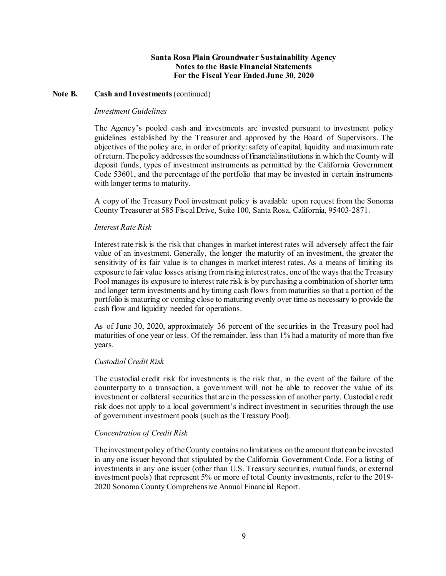### Note **B.** Cash and **Investments** (continued)

#### *Investment Guidelines*

 guidelines established by the Treasurer and approved by the Board of Supervisors. The of return. The policy addresses the soundness of financial institutions in which the County will Code 53601, and the percentage of the portfolio that may be invested in certain instruments The Agency's pooled cash and investments are invested pursuant to investment policy objectives of the policy are, in order of priority: safety of capital, liquidity and maximum rate deposit funds, types of investment instruments as permitted by the California Government with longer terms to maturity.

A copy of the Treasury Pool investment policy is available upon request from the Sonoma County Treasurer at 585 Fiscal Drive, Suite 100, Santa Rosa, California, 95403-2871.

#### *Interest Rate Risk*

 Interest rate risk is the risk that changes in market interest rates will adversely affect the fair value of an investment. Generally, the longer the maturity of an investment, the greater the sensitivity of its fair value is to changes in market interest rates. As a means of limiting its exposure to fair value losses arising from rising interest rates, one of the ways that the Treasury Pool manages its exposure to interest rate risk is by purchasing a combination of shorter term and longer term investments and by timing cash flows from maturities so that a portion of the portfolio is maturing or coming close to maturing evenly over time as necessary to provide the cash flow and liquidity needed for operations.

 As of June 30, 2020, approximately 36 percent of the securities in the Treasury pool had maturities of one year or less. Of the remainder, less than 1% had a maturity of more than five years.

#### *Custodial Credit Risk*

 The custodial credit risk for investments is the risk that, in the event of the failure of the counterparty to a transaction, a government will not be able to recover the value of its risk does not apply to a local government's indirect investment in securities through the use investment or collateral securities that are in the possession of another party. Custodial credit of government investment pools (such as the Treasury Pool).

#### *Concentration of Credit Risk*

 The investment policy of the County contains no limitations on the amount that can be invested in any one issuer beyond that stipulated by the California Government Code. For a listing of investment pools) that represent 5% or more of total County investments, refer to the 2019- 2020 Sonoma County Comprehensive Annual Financial Report. investments in any one issuer (other than U.S. Treasury securities, mutual funds, or external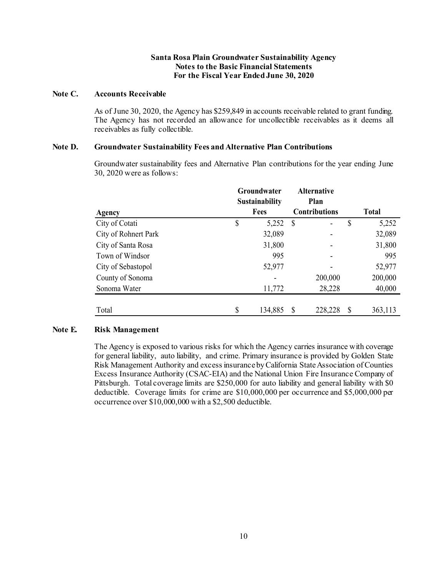#### **Note C. Accounts Receivable**

As of June 30, 2020, the Agency has \$259,849 in accounts receivable related to grant funding. As of June 30, 2020, the Agency has \$259,849 in accounts receivable related to grant funding. The Agency has not recorded an allowance for uncollectible receivables as it deems all receivables as fully collectible.

# **Note D. Groundwater Sustainability Fees and Alternative Plan Contributions**

 Groundwater sustainability fees and Alternative Plan contributions for the year ending June 30, 2020 were as follows:

| Agency               | Groundwater<br><b>Sustainability</b><br>Fees |         | <b>Alternative</b><br>Plan<br><b>Contributions</b> |         | <b>Total</b> |         |
|----------------------|----------------------------------------------|---------|----------------------------------------------------|---------|--------------|---------|
| City of Cotati       | \$                                           | 5,252   | S                                                  |         | \$           | 5,252   |
| City of Rohnert Park |                                              | 32,089  |                                                    |         |              | 32,089  |
| City of Santa Rosa   |                                              | 31,800  |                                                    |         |              | 31,800  |
| Town of Windsor      |                                              | 995     |                                                    |         |              | 995     |
| City of Sebastopol   |                                              | 52,977  |                                                    |         |              | 52,977  |
| County of Sonoma     |                                              |         |                                                    | 200,000 |              | 200,000 |
| Sonoma Water         |                                              | 11,772  |                                                    | 28,228  |              | 40,000  |
| Total                | \$                                           | 134,885 |                                                    | 228,228 | <sup>8</sup> | 363,113 |

# **Note E. Risk Management**

 for general liability, auto liability, and crime. Primary insurance is provided by Golden State Pittsburgh. Total coverage limits are \$250,000 for auto liability and general liability with \$0 deductible. Coverage limits for crime are \$10,000,000 per occurrence and \$5,000,000 per occurrence over \$10,000,000 with a \$2,500 deductible. The Agency is exposed to various risks for which the Agency carries insurance with coverage Risk Management Authority and excess insurance by California State Association of Counties Excess Insurance Authority (CSAC-EIA) and the National Union Fire Insurance Company of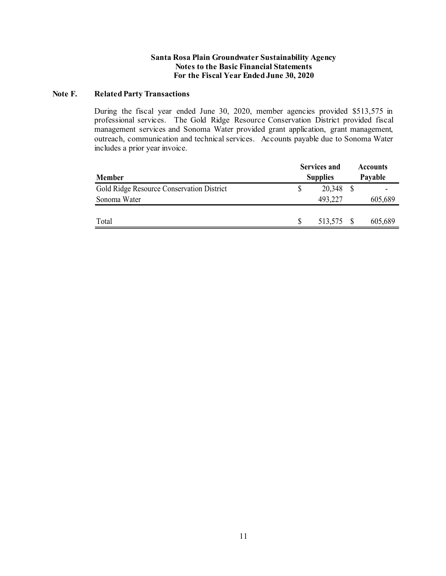### **Note F. Related Party Transactions**

 professional services. The Gold Ridge Resource Conservation District provided fiscal management services and Sonoma Water provided grant application, grant management, outreach, communication and technical services. Accounts payable due to Sonoma Water During the fiscal year ended June 30, 2020, member agencies provided \$513,575 in includes a prior year invoice.

|                                           |                 | <b>Services and</b> |  | <b>Accounts</b><br>Payable |  |
|-------------------------------------------|-----------------|---------------------|--|----------------------------|--|
| <b>Member</b>                             | <b>Supplies</b> |                     |  |                            |  |
| Gold Ridge Resource Conservation District |                 | 20,348              |  |                            |  |
| Sonoma Water                              |                 | 493,227             |  | 605,689                    |  |
|                                           |                 |                     |  |                            |  |
| Total                                     |                 | 513,575 \$          |  | 605,689                    |  |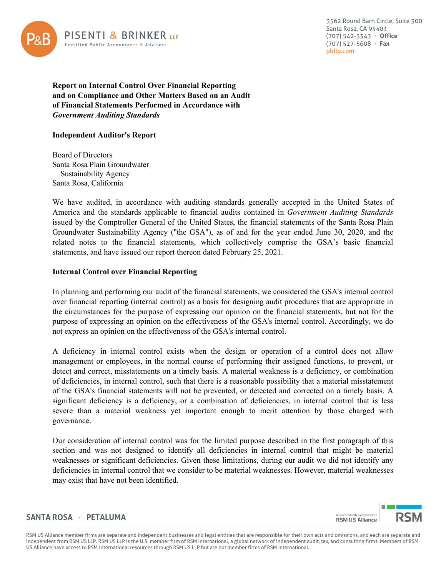

 (707) 542-3343 **Office**  (707) 527-5608 **Fax**  3562 Round Barn Circle, Suite 300 Santa Rosa, CA 95403 [pbllp.com](https://pbllp.com) 

**Report on Internal Control Over Financial Reporting and on Compliance and Other Matters Based on an Audit of Financial Statements Performed in Accordance with**  *Government Auditing Standards* 

# **Independent Auditor's Report**

 Sustainability Agency Board of Directors Santa Rosa Plain Groundwater Santa Rosa, California

 issued by the Comptroller General of the United States, the financial statements of the Santa Rosa Plain We have audited, in accordance with auditing standards generally accepted in the United States of America and the standards applicable to financial audits contained in *Government Auditing Standards*  Groundwater Sustainability Agency ("the GSA"), as of and for the year ended June 30, 2020, and the related notes to the financial statements, which collectively comprise the GSA's basic financial statements, and have issued our report thereon dated February 25, 2021.

# **Internal Control over Financial Reporting**

In planning and performing our audit of the financial statements, we considered the GSA's internal control over financial reporting (internal control) as a basis for designing audit procedures that are appropriate in the circumstances for the purpose of expressing our opinion on the financial statements, but not for the purpose of expressing an opinion on the effectiveness of the GSA's internal control. Accordingly, we do not express an opinion on the effectiveness of the GSA's internal control.

A deficiency in internal control exists when the design or operation of a control does not allow management or employees, in the normal course of performing their assigned functions, to prevent, or detect and correct, misstatements on a timely basis. A material weakness is a deficiency, or combination of deficiencies, in internal control, such that there is a reasonable possibility that a material misstatement of the GSA's financial statements will not be prevented, or detected and corrected on a timely basis. A significant deficiency is a deficiency, or a combination of deficiencies, in internal control that is less severe than a material weakness yet important enough to merit attention by those charged with governance.

Our consideration of internal control was for the limited purpose described in the first paragraph of this section and was not designed to identify all deficiencies in internal control that might be material weaknesses or significant deficiencies. Given these limitations, during our audit we did not identify any deficiencies in internal control that we consider to be material weaknesses. However, material weaknesses may exist that have not been identified.

# **SANTA ROSA PETALUMA**

 RSM US Alliance member firms are separate and independent businesses and legal entities that are responsible for their own acts and omissions, and each are separate and independent from RSM US LLP. RSM US LLP is the U.S. member firm of RSM International, a global network of independent audit, tax, and consulting firms. Members of RSM US Alliance have access to RSM International resources through RSM US LLP but are not member firms of RSM International.